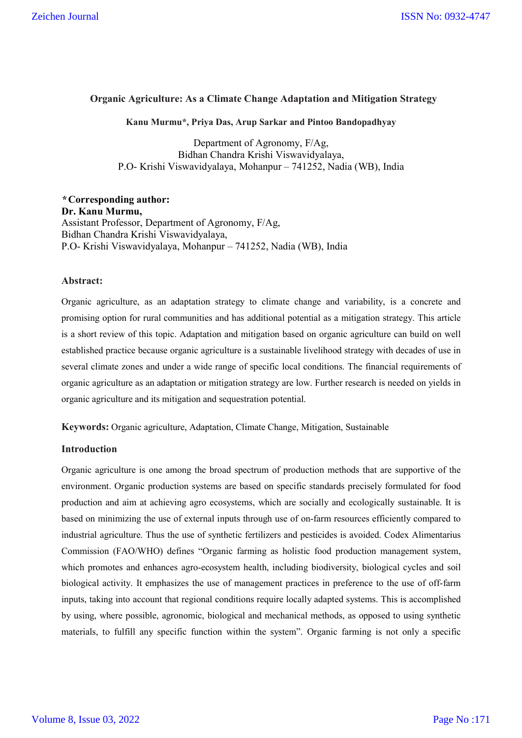## **Organic Agriculture: As a Climate Change Adaptation and Mitigation Strategy**

#### **Kanu Murmu\*, Priya Das, Arup Sarkar and Pintoo Bandopadhyay**

Department of Agronomy, F/Ag, Bidhan Chandra Krishi Viswavidyalaya, P.O- Krishi Viswavidyalaya, Mohanpur – 741252, Nadia (WB), India

*\** **Corresponding author: Dr. Kanu Murmu,** Assistant Professor, Department of Agronomy, F/Ag, Bidhan Chandra Krishi Viswavidyalaya, P.O- Krishi Viswavidyalaya, Mohanpur – 741252, Nadia (WB), India

#### **Abstract:**

Organic agriculture, as an adaptation strategy to climate change and variability, is a concrete and promising option for rural communities and has additional potential as a mitigation strategy. This article is a short review of this topic. Adaptation and mitigation based on organic agriculture can build on well established practice because organic agriculture is a sustainable livelihood strategy with decades of use in several climate zones and under a wide range of specific local conditions. The financial requirements of organic agriculture as an adaptation or mitigation strategy are low. Further research is needed on yields in organic agriculture and its mitigation and sequestration potential.

**Keywords:** Organic agriculture, Adaptation, Climate Change, Mitigation, Sustainable

## **Introduction**

Organic agriculture is one among the broad spectrum of production methods that are supportive of the environment. Organic production systems are based on specific standards precisely formulated for food production and aim at achieving agro ecosystems, which are socially and ecologically sustainable. It is based on minimizing the use of external inputs through use of on-farm resources efficiently compared to industrial agriculture. Thus the use of synthetic fertilizers and pesticides is avoided. Codex Alimentarius Commission (FAO/WHO) defines "Organic farming as holistic food production management system, which promotes and enhances agro-ecosystem health, including biodiversity, biological cycles and soil biological activity. It emphasizes the use of management practices in preference to the use of off-farm inputs, taking into account that regional conditions require locally adapted systems. This is accomplished by using, where possible, agronomic, biological and mechanical methods, as opposed to using synthetic materials, to fulfill any specific function within the system". Organic farming is not only a specific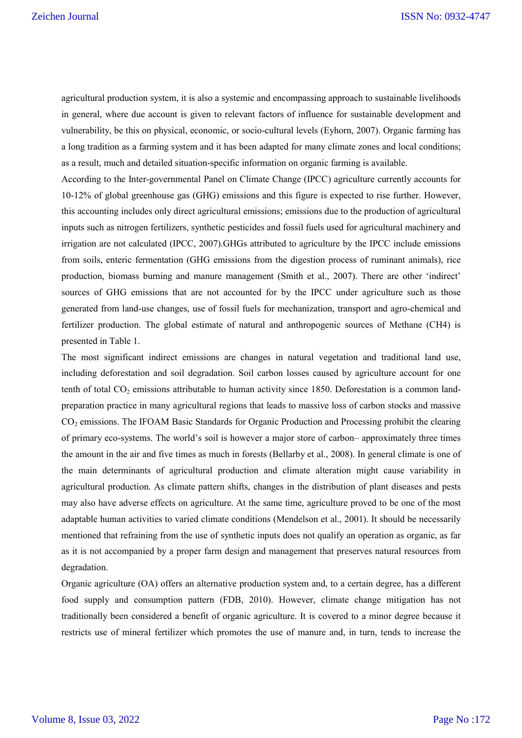agricultural production system, it is also a systemic and encompassing approach to sustainable livelihoods in general, where due account is given to relevant factors of influence for sustainable development and vulnerability, be this on physical, economic, or socio-cultural levels (Eyhorn, 2007). Organic farming has a long tradition as a farming system and it has been adapted for many climate zones and local conditions; as a result, much and detailed situation-specific information on organic farming is available.

According to the Inter-governmental Panel on Climate Change (IPCC) agriculture currently accounts for 10-12% of global greenhouse gas (GHG) emissions and this figure is expected to rise further. However, this accounting includes only direct agricultural emissions; emissions due to the production of agricultural inputs such as nitrogen fertilizers, synthetic pesticides and fossil fuels used for agricultural machinery and irrigation are not calculated (IPCC, 2007).GHGs attributed to agriculture by the IPCC include emissions from soils, enteric fermentation (GHG emissions from the digestion process of ruminant animals), rice production, biomass burning and manure management (Smith et al., 2007). There are other 'indirect' sources of GHG emissions that are not accounted for by the IPCC under agriculture such as those generated from land-use changes, use of fossil fuels for mechanization, transport and agro-chemical and fertilizer production. The global estimate of natural and anthropogenic sources of Methane (CH4) is presented in Table 1.

The most significant indirect emissions are changes in natural vegetation and traditional land use, including deforestation and soil degradation. Soil carbon losses caused by agriculture account for one tenth of total  $CO_2$  emissions attributable to human activity since 1850. Deforestation is a common landpreparation practice in many agricultural regions that leads to massive loss of carbon stocks and massive CO2 emissions. The IFOAM Basic Standards for Organic Production and Processing prohibit the clearing of primary eco-systems. The world's soil is however a major store of carbon– approximately three times the amount in the air and five times as much in forests (Bellarby et al., 2008). In general climate is one of the main determinants of agricultural production and climate alteration might cause variability in agricultural production. As climate pattern shifts, changes in the distribution of plant diseases and pests may also have adverse effects on agriculture. At the same time, agriculture proved to be one of the most adaptable human activities to varied climate conditions (Mendelson et al., 2001). It should be necessarily mentioned that refraining from the use of synthetic inputs does not qualify an operation as organic, as far as it is not accompanied by a proper farm design and management that preserves natural resources from degradation.

Organic agriculture (OA) offers an alternative production system and, to a certain degree, has a different food supply and consumption pattern (FDB, 2010). However, climate change mitigation has not traditionally been considered a benefit of organic agriculture. It is covered to a minor degree because it restricts use of mineral fertilizer which promotes the use of manure and, in turn, tends to increase the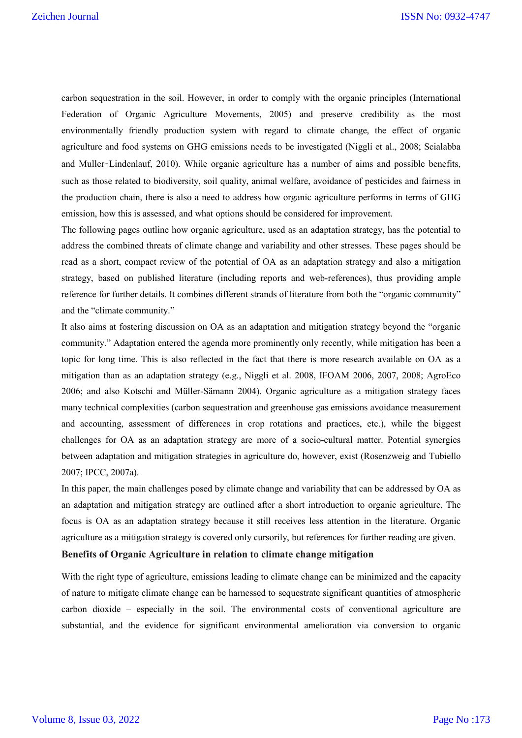carbon sequestration in the soil. However, in order to comply with the organic principles (International Federation of Organic Agriculture Movements, 2005) and preserve credibility as the most environmentally friendly production system with regard to climate change, the effect of organic agriculture and food systems on GHG emissions needs to be investigated (Niggli et al., 2008; Scialabba and Muller‑Lindenlauf, 2010). While organic agriculture has a number of aims and possible benefits, such as those related to biodiversity, soil quality, animal welfare, avoidance of pesticides and fairness in the production chain, there is also a need to address how organic agriculture performs in terms of GHG emission, how this is assessed, and what options should be considered for improvement.

The following pages outline how organic agriculture, used as an adaptation strategy, has the potential to address the combined threats of climate change and variability and other stresses. These pages should be read as a short, compact review of the potential of OA as an adaptation strategy and also a mitigation strategy, based on published literature (including reports and web-references), thus providing ample reference for further details. It combines different strands of literature from both the "organic community" and the "climate community."

It also aims at fostering discussion on OA as an adaptation and mitigation strategy beyond the "organic community." Adaptation entered the agenda more prominently only recently, while mitigation has been a topic for long time. This is also reflected in the fact that there is more research available on OA as a mitigation than as an adaptation strategy (e.g., Niggli et al. 2008, IFOAM 2006, 2007, 2008; AgroEco 2006; and also Kotschi and Müller-Sämann 2004). Organic agriculture as a mitigation strategy faces many technical complexities (carbon sequestration and greenhouse gas emissions avoidance measurement and accounting, assessment of differences in crop rotations and practices, etc.), while the biggest challenges for OA as an adaptation strategy are more of a socio-cultural matter. Potential synergies between adaptation and mitigation strategies in agriculture do, however, exist (Rosenzweig and Tubiello 2007; IPCC, 2007a).

In this paper, the main challenges posed by climate change and variability that can be addressed by OA as an adaptation and mitigation strategy are outlined after a short introduction to organic agriculture. The focus is OA as an adaptation strategy because it still receives less attention in the literature. Organic agriculture as a mitigation strategy is covered only cursorily, but references for further reading are given.

## **Benefits of Organic Agriculture in relation to climate change mitigation**

With the right type of agriculture, emissions leading to climate change can be minimized and the capacity of nature to mitigate climate change can be harnessed to sequestrate significant quantities of atmospheric carbon dioxide – especially in the soil. The environmental costs of conventional agriculture are substantial, and the evidence for significant environmental amelioration via conversion to organic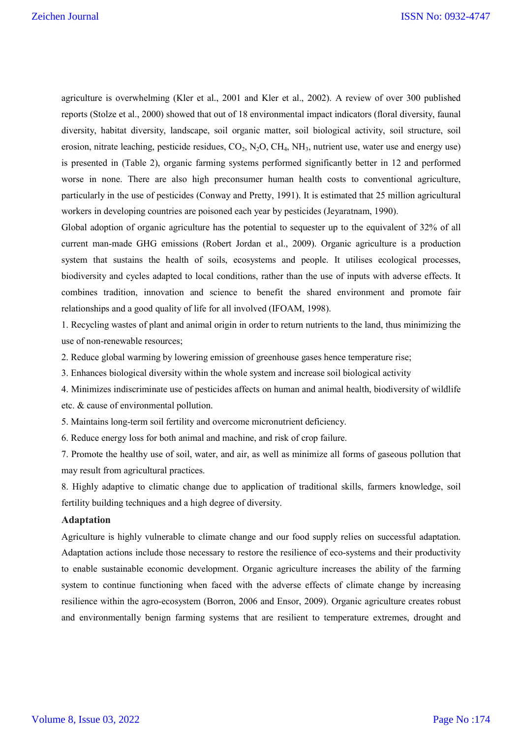agriculture is overwhelming (Kler et al., 2001 and Kler et al., 2002). A review of over 300 published reports (Stolze et al., 2000) showed that out of 18 environmental impact indicators (floral diversity, faunal diversity, habitat diversity, landscape, soil organic matter, soil biological activity, soil structure, soil erosion, nitrate leaching, pesticide residues,  $CO_2$ ,  $N_2O$ ,  $CH_4$ ,  $NH_3$ , nutrient use, water use and energy use) is presented in (Table 2), organic farming systems performed significantly better in 12 and performed worse in none. There are also high preconsumer human health costs to conventional agriculture, particularly in the use of pesticides (Conway and Pretty, 1991). It is estimated that 25 million agricultural workers in developing countries are poisoned each year by pesticides (Jeyaratnam, 1990).

Global adoption of organic agriculture has the potential to sequester up to the equivalent of 32% of all current man-made GHG emissions (Robert Jordan et al., 2009). Organic agriculture is a production system that sustains the health of soils, ecosystems and people. It utilises ecological processes, biodiversity and cycles adapted to local conditions, rather than the use of inputs with adverse effects. It combines tradition, innovation and science to benefit the shared environment and promote fair relationships and a good quality of life for all involved (IFOAM, 1998).

1. Recycling wastes of plant and animal origin in order to return nutrients to the land, thus minimizing the use of non-renewable resources;

2. Reduce global warming by lowering emission of greenhouse gases hence temperature rise;

3. Enhances biological diversity within the whole system and increase soil biological activity

4. Minimizes indiscriminate use of pesticides affects on human and animal health, biodiversity of wildlife etc. & cause of environmental pollution.

5. Maintains long-term soil fertility and overcome micronutrient deficiency.

6. Reduce energy loss for both animal and machine, and risk of crop failure.

7. Promote the healthy use of soil, water, and air, as well as minimize all forms of gaseous pollution that may result from agricultural practices.

8. Highly adaptive to climatic change due to application of traditional skills, farmers knowledge, soil fertility building techniques and a high degree of diversity.

#### **Adaptation**

Agriculture is highly vulnerable to climate change and our food supply relies on successful adaptation. Adaptation actions include those necessary to restore the resilience of eco-systems and their productivity to enable sustainable economic development. Organic agriculture increases the ability of the farming system to continue functioning when faced with the adverse effects of climate change by increasing resilience within the agro-ecosystem (Borron, 2006 and Ensor, 2009). Organic agriculture creates robust and environmentally benign farming systems that are resilient to temperature extremes, drought and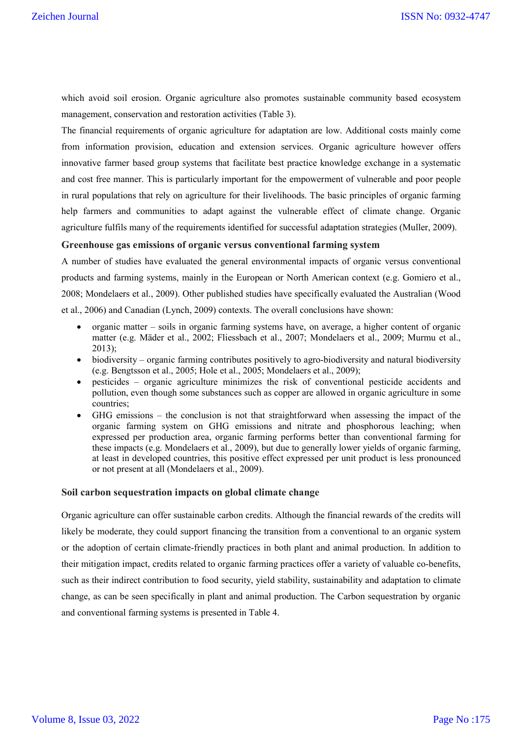which avoid soil erosion. Organic agriculture also promotes sustainable community based ecosystem management, conservation and restoration activities (Table 3).

The financial requirements of organic agriculture for adaptation are low. Additional costs mainly come from information provision, education and extension services. Organic agriculture however offers innovative farmer based group systems that facilitate best practice knowledge exchange in a systematic and cost free manner. This is particularly important for the empowerment of vulnerable and poor people in rural populations that rely on agriculture for their livelihoods. The basic principles of organic farming help farmers and communities to adapt against the vulnerable effect of climate change. Organic agriculture fulfils many of the requirements identified for successful adaptation strategies (Muller, 2009).

#### **Greenhouse gas emissions of organic versus conventional farming system**

A number of studies have evaluated the general environmental impacts of organic versus conventional products and farming systems, mainly in the European or North American context (e.g. Gomiero et al., 2008; Mondelaers et al., 2009). Other published studies have specifically evaluated the Australian (Wood et al., 2006) and Canadian (Lynch, 2009) contexts. The overall conclusions have shown:

- organic matter soils in organic farming systems have, on average, a higher content of organic matter (e.g. Mäder et al., 2002; Fliessbach et al., 2007; Mondelaers et al., 2009; Murmu et al., 2013);
- biodiversity organic farming contributes positively to agro-biodiversity and natural biodiversity (e.g. Bengtsson et al., 2005; Hole et al., 2005; Mondelaers et al., 2009);
- pesticides organic agriculture minimizes the risk of conventional pesticide accidents and pollution, even though some substances such as copper are allowed in organic agriculture in some countries;
- GHG emissions the conclusion is not that straightforward when assessing the impact of the organic farming system on GHG emissions and nitrate and phosphorous leaching; when expressed per production area, organic farming performs better than conventional farming for these impacts (e.g. Mondelaers et al., 2009), but due to generally lower yields of organic farming, at least in developed countries, this positive effect expressed per unit product is less pronounced or not present at all (Mondelaers et al., 2009).

#### **Soil carbon sequestration impacts on global climate change**

Organic agriculture can offer sustainable carbon credits. Although the financial rewards of the credits will likely be moderate, they could support financing the transition from a conventional to an organic system or the adoption of certain climate-friendly practices in both plant and animal production. In addition to their mitigation impact, credits related to organic farming practices offer a variety of valuable co-benefits, such as their indirect contribution to food security, yield stability, sustainability and adaptation to climate change, as can be seen specifically in plant and animal production. The Carbon sequestration by organic and conventional farming systems is presented in Table 4.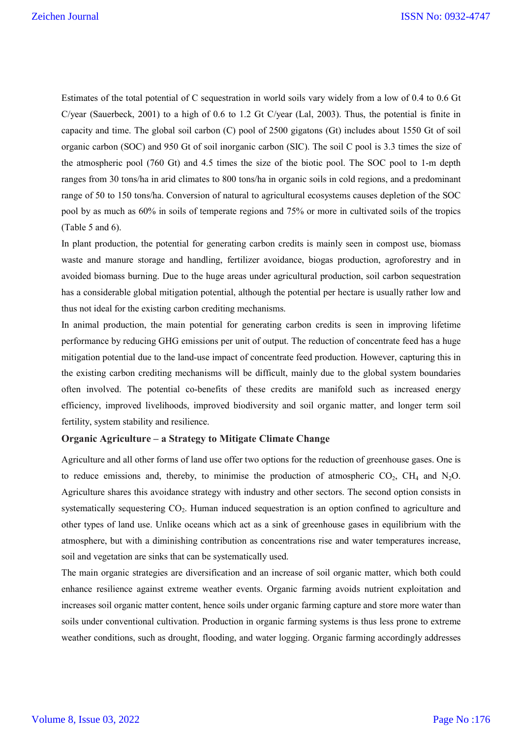Estimates of the total potential of C sequestration in world soils vary widely from a low of 0.4 to 0.6 Gt C/year (Sauerbeck, 2001) to a high of 0.6 to 1.2 Gt C/year (Lal, 2003). Thus, the potential is finite in capacity and time. The global soil carbon (C) pool of 2500 gigatons (Gt) includes about 1550 Gt of soil organic carbon (SOC) and 950 Gt of soil inorganic carbon (SIC). The soil C pool is 3.3 times the size of the atmospheric pool (760 Gt) and 4.5 times the size of the biotic pool. The SOC pool to 1-m depth ranges from 30 tons/ha in arid climates to 800 tons/ha in organic soils in cold regions, and a predominant range of 50 to 150 tons/ha. Conversion of natural to agricultural ecosystems causes depletion of the SOC pool by as much as 60% in soils of temperate regions and 75% or more in cultivated soils of the tropics (Table 5 and 6).

In plant production, the potential for generating carbon credits is mainly seen in compost use, biomass waste and manure storage and handling, fertilizer avoidance, biogas production, agroforestry and in avoided biomass burning. Due to the huge areas under agricultural production, soil carbon sequestration has a considerable global mitigation potential, although the potential per hectare is usually rather low and thus not ideal for the existing carbon crediting mechanisms.

In animal production, the main potential for generating carbon credits is seen in improving lifetime performance by reducing GHG emissions per unit of output. The reduction of concentrate feed has a huge mitigation potential due to the land-use impact of concentrate feed production. However, capturing this in the existing carbon crediting mechanisms will be difficult, mainly due to the global system boundaries often involved. The potential co-benefits of these credits are manifold such as increased energy efficiency, improved livelihoods, improved biodiversity and soil organic matter, and longer term soil fertility, system stability and resilience.

#### **Organic Agriculture – a Strategy to Mitigate Climate Change**

Agriculture and all other forms of land use offer two options for the reduction of greenhouse gases. One is to reduce emissions and, thereby, to minimise the production of atmospheric  $CO_2$ ,  $CH_4$  and N<sub>2</sub>O. Agriculture shares this avoidance strategy with industry and other sectors. The second option consists in systematically sequestering CO<sub>2</sub>. Human induced sequestration is an option confined to agriculture and other types of land use. Unlike oceans which act as a sink of greenhouse gases in equilibrium with the atmosphere, but with a diminishing contribution as concentrations rise and water temperatures increase, soil and vegetation are sinks that can be systematically used.

The main organic strategies are diversification and an increase of soil organic matter, which both could enhance resilience against extreme weather events. Organic farming avoids nutrient exploitation and increases soil organic matter content, hence soils under organic farming capture and store more water than soils under conventional cultivation. Production in organic farming systems is thus less prone to extreme weather conditions, such as drought, flooding, and water logging. Organic farming accordingly addresses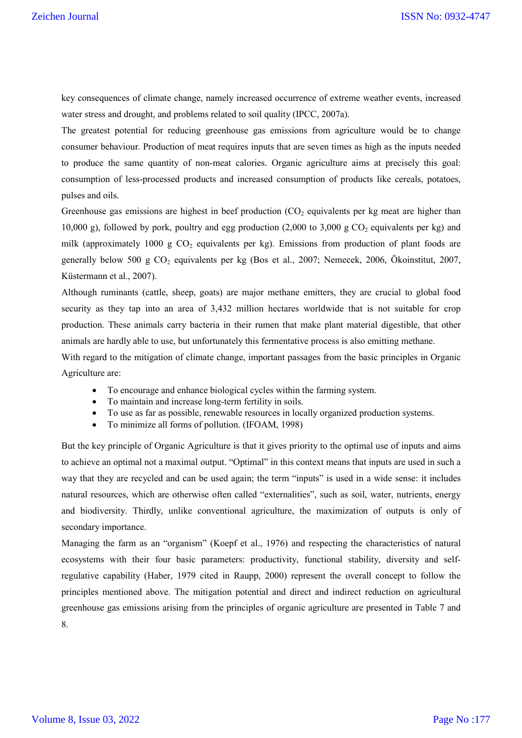key consequences of climate change, namely increased occurrence of extreme weather events, increased water stress and drought, and problems related to soil quality (IPCC, 2007a).

The greatest potential for reducing greenhouse gas emissions from agriculture would be to change consumer behaviour. Production of meat requires inputs that are seven times as high as the inputs needed to produce the same quantity of non-meat calories. Organic agriculture aims at precisely this goal: consumption of less-processed products and increased consumption of products like cereals, potatoes, pulses and oils.

Greenhouse gas emissions are highest in beef production  $(CO<sub>2</sub>)$  equivalents per kg meat are higher than 10,000 g), followed by pork, poultry and egg production (2,000 to 3,000 g  $CO_2$  equivalents per kg) and milk (approximately 1000 g  $CO<sub>2</sub>$  equivalents per kg). Emissions from production of plant foods are generally below 500 g  $CO<sub>2</sub>$  equivalents per kg (Bos et al., 2007; Nemecek, 2006, Ökoinstitut, 2007, Küstermann et al., 2007).

Although ruminants (cattle, sheep, goats) are major methane emitters, they are crucial to global food security as they tap into an area of 3,432 million hectares worldwide that is not suitable for crop production. These animals carry bacteria in their rumen that make plant material digestible, that other animals are hardly able to use, but unfortunately this fermentative process is also emitting methane.

With regard to the mitigation of climate change, important passages from the basic principles in Organic Agriculture are:

- To encourage and enhance biological cycles within the farming system.
- To maintain and increase long-term fertility in soils.
- To use as far as possible, renewable resources in locally organized production systems.
- To minimize all forms of pollution. (IFOAM, 1998)

But the key principle of Organic Agriculture is that it gives priority to the optimal use of inputs and aims to achieve an optimal not a maximal output. "Optimal" in this context means that inputs are used in such a way that they are recycled and can be used again; the term "inputs" is used in a wide sense: it includes natural resources, which are otherwise often called "externalities", such as soil, water, nutrients, energy and biodiversity. Thirdly, unlike conventional agriculture, the maximization of outputs is only of secondary importance.

Managing the farm as an "organism" (Koepf et al., 1976) and respecting the characteristics of natural ecosystems with their four basic parameters: productivity, functional stability, diversity and selfregulative capability (Haber, 1979 cited in Raupp, 2000) represent the overall concept to follow the principles mentioned above. The mitigation potential and direct and indirect reduction on agricultural greenhouse gas emissions arising from the principles of organic agriculture are presented in Table 7 and 8.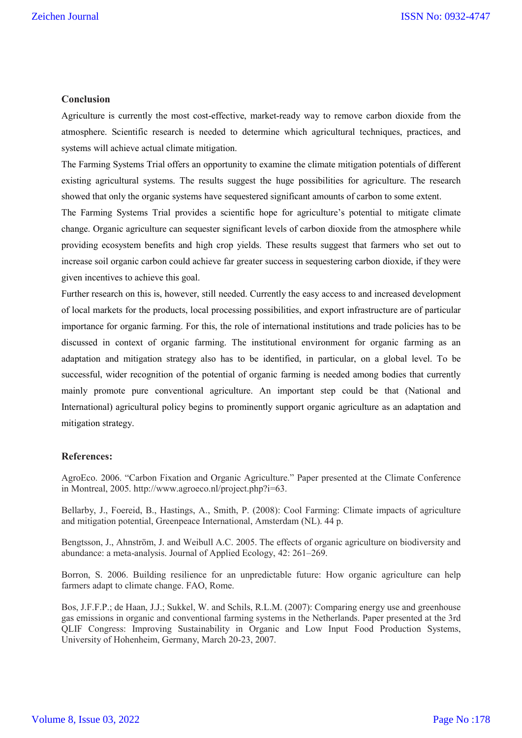#### **Conclusion**

Agriculture is currently the most cost-effective, market-ready way to remove carbon dioxide from the atmosphere. Scientific research is needed to determine which agricultural techniques, practices, and systems will achieve actual climate mitigation.

The Farming Systems Trial offers an opportunity to examine the climate mitigation potentials of different existing agricultural systems. The results suggest the huge possibilities for agriculture. The research showed that only the organic systems have sequestered significant amounts of carbon to some extent.

The Farming Systems Trial provides a scientific hope for agriculture's potential to mitigate climate change. Organic agriculture can sequester significant levels of carbon dioxide from the atmosphere while providing ecosystem benefits and high crop yields. These results suggest that farmers who set out to increase soil organic carbon could achieve far greater success in sequestering carbon dioxide, if they were given incentives to achieve this goal.

Further research on this is, however, still needed. Currently the easy access to and increased development of local markets for the products, local processing possibilities, and export infrastructure are of particular importance for organic farming. For this, the role of international institutions and trade policies has to be discussed in context of organic farming. The institutional environment for organic farming as an adaptation and mitigation strategy also has to be identified, in particular, on a global level. To be successful, wider recognition of the potential of organic farming is needed among bodies that currently mainly promote pure conventional agriculture. An important step could be that (National and International) agricultural policy begins to prominently support organic agriculture as an adaptation and mitigation strategy.

#### **References:**

AgroEco. 2006. "Carbon Fixation and Organic Agriculture." Paper presented at the Climate Conference in Montreal, 2005. http://www.agroeco.nl/project.php?i=63.

Bellarby, J., Foereid, B., Hastings, A., Smith, P. (2008): Cool Farming: Climate impacts of agriculture and mitigation potential, Greenpeace International, Amsterdam (NL). 44 p.

Bengtsson, J., Ahnström, J. and Weibull A.C. 2005. The effects of organic agriculture on biodiversity and abundance: a meta-analysis. Journal of Applied Ecology, 42: 261–269.

Borron, S. 2006. Building resilience for an unpredictable future: How organic agriculture can help farmers adapt to climate change. FAO, Rome.

Bos, J.F.F.P.; de Haan, J.J.; Sukkel, W. and Schils, R.L.M. (2007): Comparing energy use and greenhouse gas emissions in organic and conventional farming systems in the Netherlands. Paper presented at the 3rd QLIF Congress: Improving Sustainability in Organic and Low Input Food Production Systems, University of Hohenheim, Germany, March 20-23, 2007.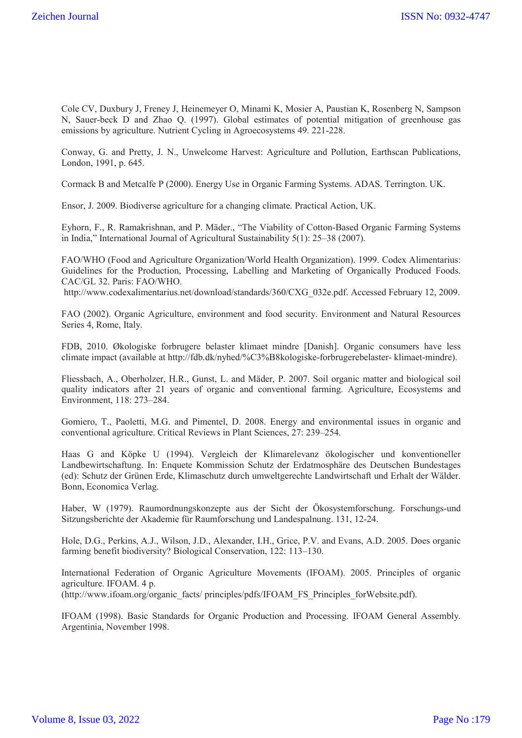Cole CV, Duxbury J, Freney J, Heinemeyer O, Minami K, Mosier A, Paustian K, Rosenberg N, Sampson N, Sauer-beck D and Zhao Q. (1997). Global estimates of potential mitigation of greenhouse gas emissions by agriculture. Nutrient Cycling in Agroecosystems 49. 221-228.

Conway, G. and Pretty, J. N., Unwelcome Harvest: Agriculture and Pollution, Earthscan Publications, London, 1991, p. 645.

Cormack B and Metcalfe P (2000). Energy Use in Organic Farming Systems. ADAS. Terrington. UK.

Ensor, J. 2009. Biodiverse agriculture for a changing climate. Practical Action, UK.

Eyhorn, F., R. Ramakrishnan, and P. Mäder., "The Viability of Cotton-Based Organic Farming Systems in India," International Journal of Agricultural Sustainability 5(1): 25–38 (2007).

FAO/WHO (Food and Agriculture Organization/World Health Organization). 1999. Codex Alimentarius: Guidelines for the Production, Processing, Labelling and Marketing of Organically Produced Foods. CAC/GL 32. Paris: FAO/WHO.

http://www.codexalimentarius.net/download/standards/360/CXG\_032e.pdf. Accessed February 12, 2009.

FAO (2002). Organic Agriculture, environment and food security. Environment and Natural Resources Series 4, Rome, Italy.

FDB, 2010. Økologiske forbrugere belaster klimaet mindre [Danish]. Organic consumers have less climate impact (available at http://fdb.dk/nyhed/%C3%B8kologiske-forbrugerebelaster- klimaet-mindre).

Fliessbach, A., Oberholzer, H.R., Gunst, L. and Mäder, P. 2007. Soil organic matter and biological soil quality indicators after 21 years of organic and conventional farming. Agriculture, Ecosystems and Environment, 118: 273–284.

Gomiero, T., Paoletti, M.G. and Pimentel, D. 2008. Energy and environmental issues in organic and conventional agriculture. Critical Reviews in Plant Sciences, 27: 239–254.

Haas G and Köpke U (1994). Vergleich der Klimarelevanz ökologischer und konventioneller Landbewirtschaftung. In: Enquete Kommission Schutz der Erdatmosphäre des Deutschen Bundestages (ed): Schutz der Grünen Erde, Klimaschutz durch umweltgerechte Landwirtschaft und Erhalt der Wälder. Bonn, Economica Verlag.

Haber, W (1979). Raumordnungskonzepte aus der Sicht der Ökosystemforschung. Forschungs-und Sitzungsberichte der Akademie für Raumforschung und Landespalnung. 131, 12-24.

Hole, D.G., Perkins, A.J., Wilson, J.D., Alexander, I.H., Grice, P.V. and Evans, A.D. 2005. Does organic farming benefit biodiversity? Biological Conservation, 122: 113–130.

International Federation of Organic Agriculture Movements (IFOAM). 2005. Principles of organic agriculture. IFOAM. 4 p.

(http://www.ifoam.org/organic\_facts/ principles/pdfs/IFOAM\_FS\_Principles\_forWebsite.pdf).

IFOAM (1998). Basic Standards for Organic Production and Processing. IFOAM General Assembly. Argentinia, November 1998.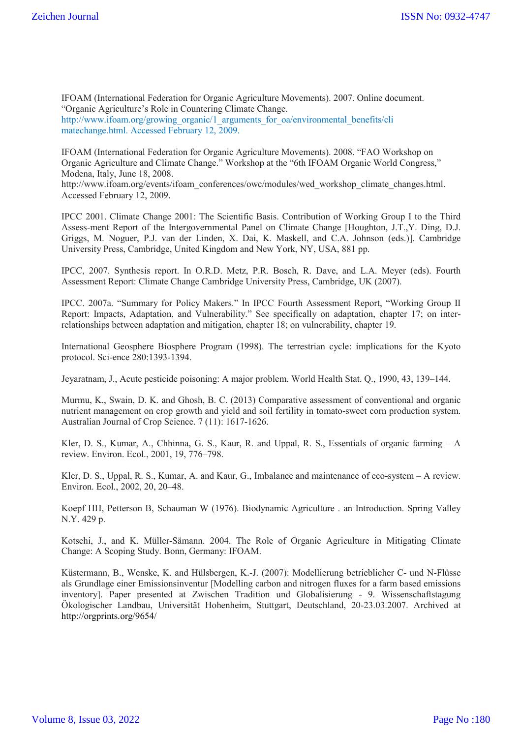IFOAM (International Federation for Organic Agriculture Movements). 2007. Online document. "Organic Agriculture's Role in Countering Climate Change.

http://www.ifoam.org/growing\_organic/1\_arguments\_for\_oa/environmental\_benefits/cli matechange.html. Accessed February 12, 2009.

IFOAM (International Federation for Organic Agriculture Movements). 2008. "FAO Workshop on Organic Agriculture and Climate Change." Workshop at the "6th IFOAM Organic World Congress," Modena, Italy, June 18, 2008.

http://www.ifoam.org/events/ifoam\_conferences/owc/modules/wed\_workshop\_climate\_changes.html. Accessed February 12, 2009.

IPCC 2001. Climate Change 2001: The Scientific Basis. Contribution of Working Group I to the Third Assess-ment Report of the Intergovernmental Panel on Climate Change [Houghton, J.T.,Y. Ding, D.J. Griggs, M. Noguer, P.J. van der Linden, X. Dai, K. Maskell, and C.A. Johnson (eds.)]. Cambridge University Press, Cambridge, United Kingdom and New York, NY, USA, 881 pp.

IPCC, 2007. Synthesis report. In O.R.D. Metz, P.R. Bosch, R. Dave, and L.A. Meyer (eds). Fourth Assessment Report: Climate Change Cambridge University Press, Cambridge, UK (2007).

IPCC. 2007a. "Summary for Policy Makers." In IPCC Fourth Assessment Report, "Working Group II Report: Impacts, Adaptation, and Vulnerability." See specifically on adaptation, chapter 17; on interrelationships between adaptation and mitigation, chapter 18; on vulnerability, chapter 19.

International Geosphere Biosphere Program (1998). The terrestrian cycle: implications for the Kyoto protocol. Sci-ence 280:1393-1394.

Jeyaratnam, J., Acute pesticide poisoning: A major problem. World Health Stat. Q., 1990, 43, 139–144.

Murmu, K., Swain, D. K. and Ghosh, B. C. (2013) Comparative assessment of conventional and organic nutrient management on crop growth and yield and soil fertility in tomato-sweet corn production system. Australian Journal of Crop Science. 7 (11): 1617-1626.

Kler, D. S., Kumar, A., Chhinna, G. S., Kaur, R. and Uppal, R. S., Essentials of organic farming – A review. Environ. Ecol., 2001, 19, 776–798.

Kler, D. S., Uppal, R. S., Kumar, A. and Kaur, G., Imbalance and maintenance of eco-system – A review. Environ. Ecol., 2002, 20, 20–48.

Koepf HH, Petterson B, Schauman W (1976). Biodynamic Agriculture . an Introduction. Spring Valley N.Y. 429 p.

Kotschi, J., and K. Müller-Sämann. 2004. The Role of Organic Agriculture in Mitigating Climate Change: A Scoping Study. Bonn, Germany: IFOAM.

Küstermann, B., Wenske, K. and Hülsbergen, K.-J. (2007): Modellierung betrieblicher C- und N-Flüsse als Grundlage einer Emissionsinventur [Modelling carbon and nitrogen fluxes for a farm based emissions inventory]. Paper presented at Zwischen Tradition und Globalisierung - 9. Wissenschaftstagung Ökologischer Landbau, Universität Hohenheim, Stuttgart, Deutschland, 20-23.03.2007. Archived at http://orgprints.org/9654/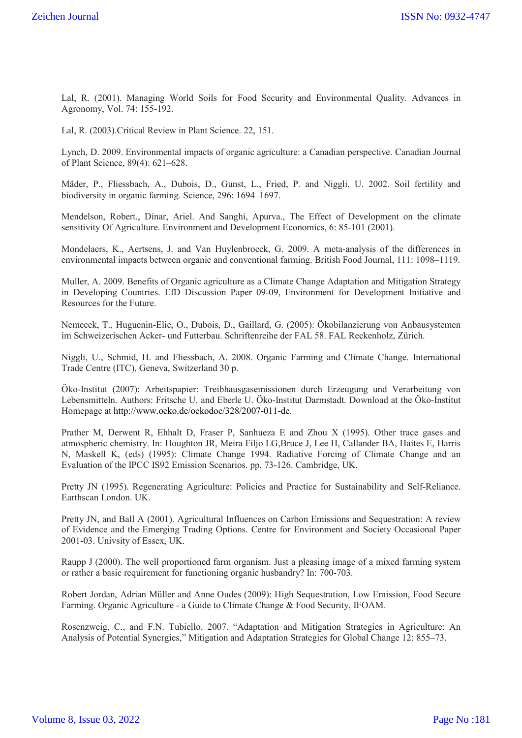Lal, R. (2001). Managing World Soils for Food Security and Environmental Quality. Advances in Agronomy, Vol. 74: 155-192.

Lal, R. (2003).Critical Review in Plant Science. 22, 151.

Lynch, D. 2009. Environmental impacts of organic agriculture: a Canadian perspective. Canadian Journal of Plant Science, 89(4): 621–628.

Mäder, P., Fliessbach, A., Dubois, D., Gunst, L., Fried, P. and Niggli, U. 2002. Soil fertility and biodiversity in organic farming. Science, 296: 1694–1697.

Mendelson, Robert., Dinar, Ariel. And Sanghi, Apurva., The Effect of Development on the climate sensitivity Of Agriculture. Environment and Development Economics, 6: 85-101 (2001).

Mondelaers, K., Aertsens, J. and Van Huylenbroeck, G. 2009. A meta-analysis of the differences in environmental impacts between organic and conventional farming. British Food Journal, 111: 1098–1119.

Muller, A. 2009. Benefits of Organic agriculture as a Climate Change Adaptation and Mitigation Strategy in Developing Countries. EfD Discussion Paper 09-09, Environment for Development Initiative and Resources for the Future.

Nemecek, T., Huguenin-Elie, O., Dubois, D., Gaillard, G. (2005): Ökobilanzierung von Anbausystemen im Schweizerischen Acker- und Futterbau. Schriftenreihe der FAL 58. FAL Reckenholz, Zürich.

Niggli, U., Schmid, H. and Fliessbach, A. 2008. Organic Farming and Climate Change. International Trade Centre (ITC), Geneva, Switzerland 30 p.

Öko-Institut (2007): Arbeitspapier: Treibhausgasemissionen durch Erzeugung und Verarbeitung von Lebensmitteln. Authors: Fritsche U. and Eberle U. Öko-Institut Darmstadt. Download at the Öko-Institut Homepage at http://www.oeko.de/oekodoc/328/2007-011-de.

Prather M, Derwent R, Ehhalt D, Fraser P, Sanhueza E and Zhou X (1995). Other trace gases and atmospheric chemistry. In: Houghton JR, Meira Filjo LG,Bruce J, Lee H, Callander BA, Haites E, Harris N, Maskell K, (eds) (1995): Climate Change 1994. Radiative Forcing of Climate Change and an Evaluation of the IPCC IS92 Emission Scenarios. pp. 73-126. Cambridge, UK.

Pretty JN (1995). Regenerating Agriculture: Policies and Practice for Sustainability and Self-Reliance. Earthscan London. UK.

Pretty JN, and Ball A (2001). Agricultural Influences on Carbon Emissions and Sequestration: A review of Evidence and the Emerging Trading Options. Centre for Environment and Society Occasional Paper 2001-03. Univsity of Essex, UK.

Raupp J (2000). The well proportioned farm organism. Just a pleasing image of a mixed farming system or rather a basic requirement for functioning organic husbandry? In: 700-703.

Robert Jordan, Adrian Müller and Anne Oudes (2009): High Sequestration, Low Emission, Food Secure Farming. Organic Agriculture - a Guide to Climate Change & Food Security, IFOAM.

Rosenzweig, C., and F.N. Tubiello. 2007. "Adaptation and Mitigation Strategies in Agriculture: An Analysis of Potential Synergies," Mitigation and Adaptation Strategies for Global Change 12: 855–73.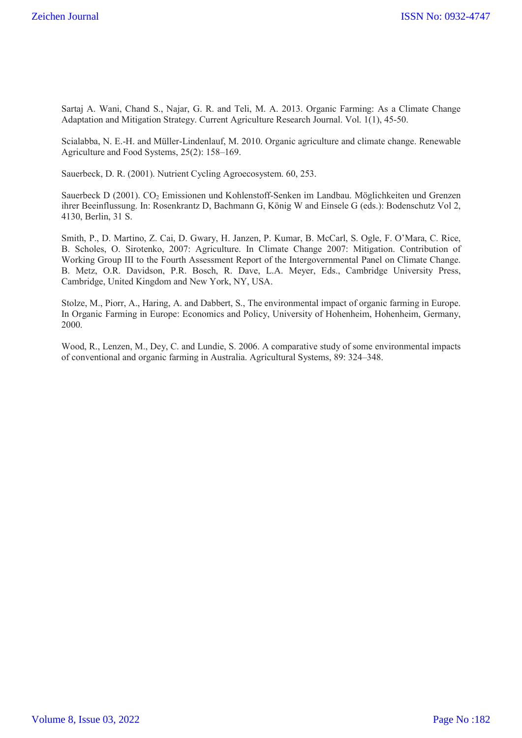Sartaj A. Wani, Chand S., Najar, G. R. and Teli, M. A. 2013. Organic Farming: As a Climate Change Adaptation and Mitigation Strategy. Current Agriculture Research Journal. Vol. 1(1), 45-50.

Scialabba, N. E.-H. and Müller-Lindenlauf, M. 2010. Organic agriculture and climate change. Renewable Agriculture and Food Systems, 25(2): 158–169.

Sauerbeck, D. R. (2001). Nutrient Cycling Agroecosystem. 60, 253.

Sauerbeck D (2001). CO<sub>2</sub> Emissionen und Kohlenstoff-Senken im Landbau. Möglichkeiten und Grenzen ihrer Beeinflussung. In: Rosenkrantz D, Bachmann G, König W and Einsele G (eds.): Bodenschutz Vol 2, 4130, Berlin, 31 S.

Smith, P., D. Martino, Z. Cai, D. Gwary, H. Janzen, P. Kumar, B. McCarl, S. Ogle, F. O'Mara, C. Rice, B. Scholes, O. Sirotenko, 2007: Agriculture. In Climate Change 2007: Mitigation. Contribution of Working Group III to the Fourth Assessment Report of the Intergovernmental Panel on Climate Change. B. Metz, O.R. Davidson, P.R. Bosch, R. Dave, L.A. Meyer, Eds., Cambridge University Press, Cambridge, United Kingdom and New York, NY, USA.

Stolze, M., Piorr, A., Haring, A. and Dabbert, S., The environmental impact of organic farming in Europe. In Organic Farming in Europe: Economics and Policy, University of Hohenheim, Hohenheim, Germany, 2000.

Wood, R., Lenzen, M., Dey, C. and Lundie, S. 2006. A comparative study of some environmental impacts of conventional and organic farming in Australia. Agricultural Systems, 89: 324–348.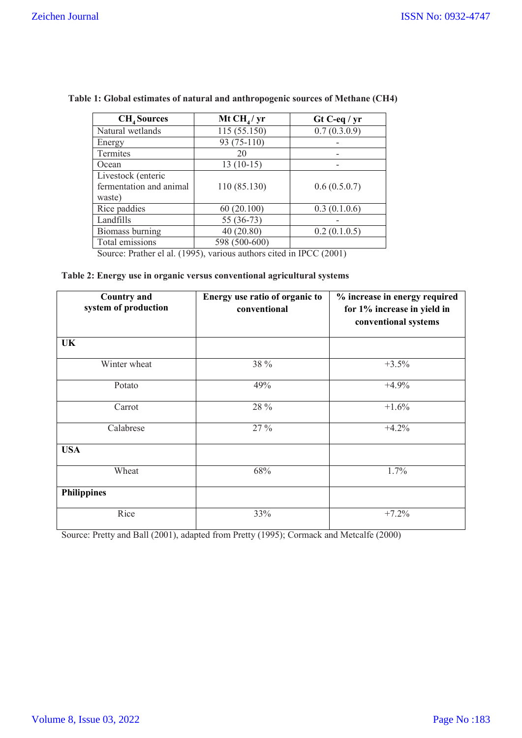| <b>CH<sub>4</sub></b> Sources                           | Mt CH <sub>4</sub> /yr | $Gt$ C-eq / yr |
|---------------------------------------------------------|------------------------|----------------|
| Natural wetlands                                        | 115 (55.150)           | 0.7(0.3.0.9)   |
| Energy                                                  | 93 (75-110)            |                |
| Termites                                                | 20                     |                |
| Ocean                                                   | $13(10-15)$            |                |
| Livestock (enteric<br>fermentation and animal<br>waste) | 110 (85.130)           | 0.6(0.5.0.7)   |
| Rice paddies                                            | 60(20.100)             | 0.3(0.1.0.6)   |
| Landfills                                               | 55 (36-73)             |                |
| Biomass burning                                         | 40(20.80)              | 0.2(0.1.0.5)   |
| Total emissions                                         | 598 (500-600)          |                |

 **Table 1: Global estimates of natural and anthropogenic sources of Methane (CH4)**

Source: Prather el al. (1995), various authors cited in IPCC (2001)

## **Table 2: Energy use in organic versus conventional agricultural systems**

| <b>Country and</b><br>system of production | Energy use ratio of organic to<br>conventional | % increase in energy required<br>for 1% increase in yield in<br>conventional systems |
|--------------------------------------------|------------------------------------------------|--------------------------------------------------------------------------------------|
| UK                                         |                                                |                                                                                      |
| Winter wheat                               | 38 %                                           | $+3.5%$                                                                              |
| Potato                                     | 49%                                            | $+4.9%$                                                                              |
| Carrot                                     | 28 %                                           | $+1.6%$                                                                              |
| Calabrese                                  | 27 %                                           | $+4.2%$                                                                              |
| <b>USA</b>                                 |                                                |                                                                                      |
| Wheat                                      | 68%                                            | 1.7%                                                                                 |
| <b>Philippines</b>                         |                                                |                                                                                      |
| Rice                                       | 33%                                            | $+7.2%$                                                                              |

Source: Pretty and Ball (2001), adapted from Pretty (1995); Cormack and Metcalfe (2000)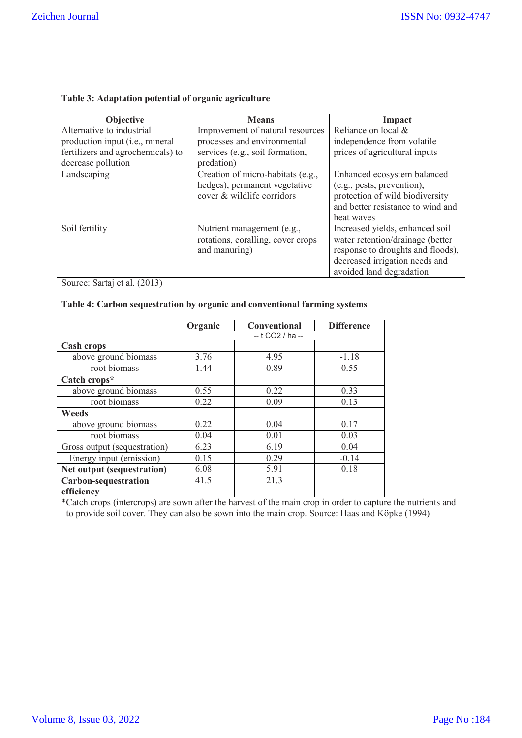| Objective                         | <b>Means</b>                      | Impact                            |
|-----------------------------------|-----------------------------------|-----------------------------------|
| Alternative to industrial         | Improvement of natural resources  | Reliance on local &               |
| production input (i.e., mineral   | processes and environmental       | independence from volatile        |
| fertilizers and agrochemicals) to | services (e.g., soil formation,   | prices of agricultural inputs     |
| decrease pollution                | predation)                        |                                   |
| Landscaping                       | Creation of micro-habitats (e.g., | Enhanced ecosystem balanced       |
|                                   | hedges), permanent vegetative     | (e.g., pests, prevention),        |
|                                   | cover & wildlife corridors        | protection of wild biodiversity   |
|                                   |                                   | and better resistance to wind and |
|                                   |                                   | heat waves                        |
| Soil fertility                    | Nutrient management (e.g.,        | Increased yields, enhanced soil   |
|                                   | rotations, coralling, cover crops | water retention/drainage (better  |
|                                   | and manuring)                     | response to droughts and floods), |
|                                   |                                   | decreased irrigation needs and    |
|                                   |                                   | avoided land degradation          |

#### **Table 3: Adaptation potential of organic agriculture**

Source: Sartaj et al. (2013)

## **Table 4: Carbon sequestration by organic and conventional farming systems**

|                              | Organic          | Conventional | <b>Difference</b> |
|------------------------------|------------------|--------------|-------------------|
|                              | -- t CO2 / ha -- |              |                   |
| <b>Cash crops</b>            |                  |              |                   |
| above ground biomass         | 3.76             | 4.95         | $-1.18$           |
| root biomass                 | 1.44             | 0.89         | 0.55              |
| Catch crops*                 |                  |              |                   |
| above ground biomass         | 0.55             | 0.22         | 0.33              |
| root biomass                 | 0.22             | 0.09         | 0.13              |
| <b>Weeds</b>                 |                  |              |                   |
| above ground biomass         | 0.22             | 0.04         | 0.17              |
| root biomass                 | 0.04             | 0.01         | 0.03              |
| Gross output (sequestration) | 6.23             | 6.19         | 0.04              |
| Energy input (emission)      | 0.15             | 0.29         | $-0.14$           |
| Net output (sequestration)   | 6.08             | 5.91         | 0.18              |
| Carbon-sequestration         | 41.5             | 21.3         |                   |
| efficiency                   |                  |              |                   |

\*Catch crops (intercrops) are sown after the harvest of the main crop in order to capture the nutrients and to provide soil cover. They can also be sown into the main crop. Source: Haas and Köpke (1994)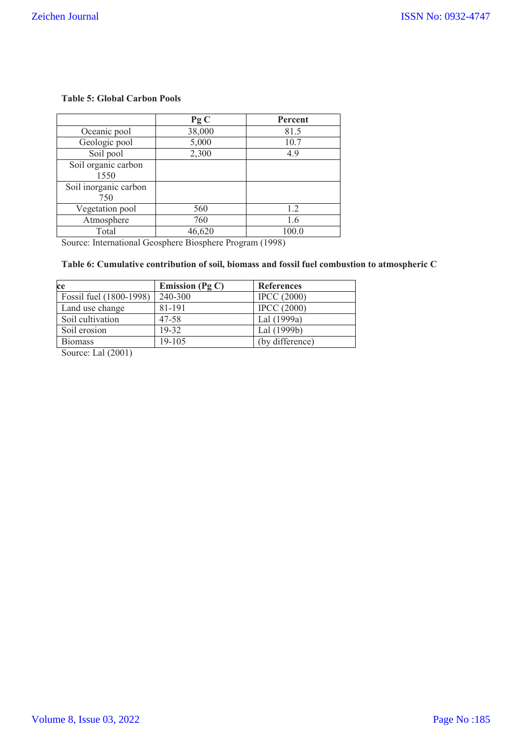## **Table 5: Global Carbon Pools**

|                              | PgC    | Percent |
|------------------------------|--------|---------|
| Oceanic pool                 | 38,000 | 81.5    |
| Geologic pool                | 5,000  | 10.7    |
| Soil pool                    | 2,300  | 4.9     |
| Soil organic carbon<br>1550  |        |         |
| Soil inorganic carbon<br>750 |        |         |
| Vegetation pool              | 560    | 1.2     |
| Atmosphere                   | 760    | 1.6     |
| Total                        | 46,620 | 100.0   |

Source: International Geosphere Biosphere Program (1998)

# **Table 6: Cumulative contribution of soil, biomass and fossil fuel combustion to atmospheric C**

| ce                      | Emission (Pg $C$ ) | <b>References</b>  |
|-------------------------|--------------------|--------------------|
| Fossil fuel (1800-1998) | 240-300            | <b>IPCC</b> (2000) |
| Land use change         | 81-191             | <b>IPCC</b> (2000) |
| Soil cultivation        | 47-58              | Lal (1999a)        |
| Soil erosion            | 19-32              | Lal (1999b)        |
| <b>Biomass</b>          | 19-105             | (by difference)    |

Source: Lal (2001)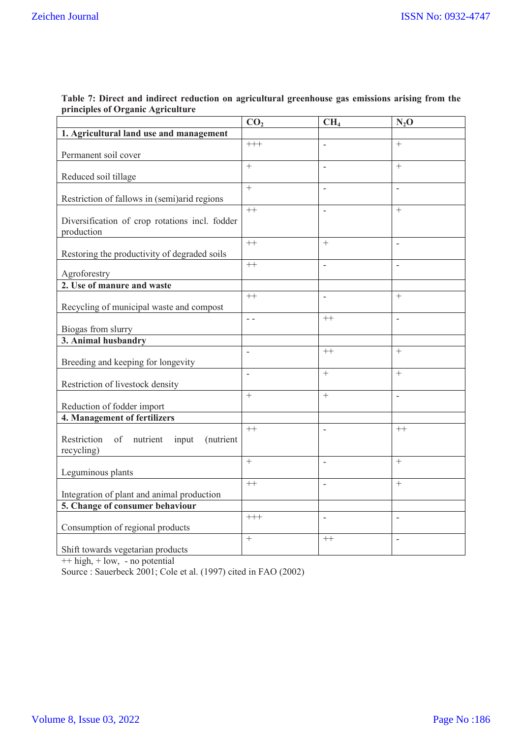|                                                                                  | CO <sub>2</sub> | CH <sub>4</sub>          | $N_2O$                   |
|----------------------------------------------------------------------------------|-----------------|--------------------------|--------------------------|
| 1. Agricultural land use and management                                          |                 |                          |                          |
| Permanent soil cover                                                             | $^{+++}$        | $\overline{a}$           | $^{+}$                   |
| Reduced soil tillage                                                             | $+$             | L,                       | $^{+}$                   |
| Restriction of fallows in (semi)arid regions                                     | $+$             | $\overline{a}$           | $\overline{a}$           |
| Diversification of crop rotations incl. fodder<br>production                     | $^{++}$         | L,                       | $^{+}$                   |
| Restoring the productivity of degraded soils                                     | $++$            | $^{+}$                   | $\overline{\phantom{a}}$ |
| Agroforestry                                                                     | $++$            | $\overline{a}$           |                          |
| 2. Use of manure and waste                                                       |                 |                          |                          |
| Recycling of municipal waste and compost                                         | $++$            | $\overline{\phantom{0}}$ | $^{+}$                   |
| Biogas from slurry                                                               | $\sim$ $\sim$   | $++$                     | $\overline{\phantom{a}}$ |
| 3. Animal husbandry                                                              |                 |                          |                          |
| Breeding and keeping for longevity                                               | $\overline{a}$  | $++$                     | $^{+}$                   |
| Restriction of livestock density                                                 | $\overline{a}$  | $\overline{+}$           | $^{+}$                   |
| Reduction of fodder import                                                       | $+$             | $^{+}$                   |                          |
| 4. Management of fertilizers                                                     |                 |                          |                          |
| Restriction<br>of<br>nutrient<br>input<br>(nutrient<br>recycling)                | $++$            | $\overline{a}$           | $++$                     |
| Leguminous plants                                                                | $+$             | $\overline{a}$           | $^{+}$                   |
| Integration of plant and animal production                                       | $++$            |                          | $^{+}$                   |
| 5. Change of consumer behaviour                                                  |                 |                          |                          |
| Consumption of regional products                                                 | $++$            | $\overline{a}$           | L,                       |
| Shift towards vegetarian products<br>non debada on dialasa consiste segundakan b | $+$             | $++$                     | $\overline{a}$           |

#### **Table 7: Direct and indirect reduction on agricultural greenhouse gas emissions arising from the principles of Organic Agriculture**  $\overline{\phantom{a}}$

++ high, + low, - no potential

Source : Sauerbeck 2001; Cole et al. (1997) cited in FAO (2002)